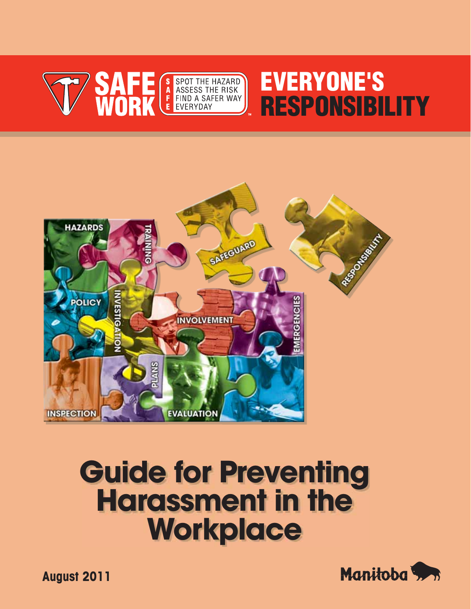

# **EVERYONE'S RESPONSIBILITY**



# **Guide for Preventing Harassment in the Workplace**



**August 2011**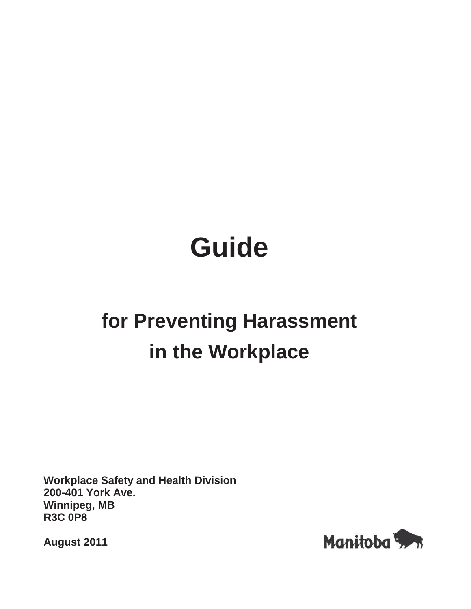# **Guide**

## **for Preventing Harassment in the Workplace**

**Workplace Safety and Health Division 200-401 York Ave. Winnipeg, MB R3C 0P8** 

**August 2011** 

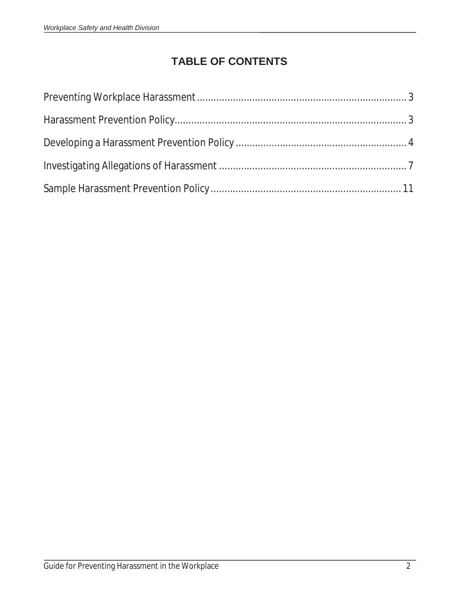## **TABLE OF CONTENTS**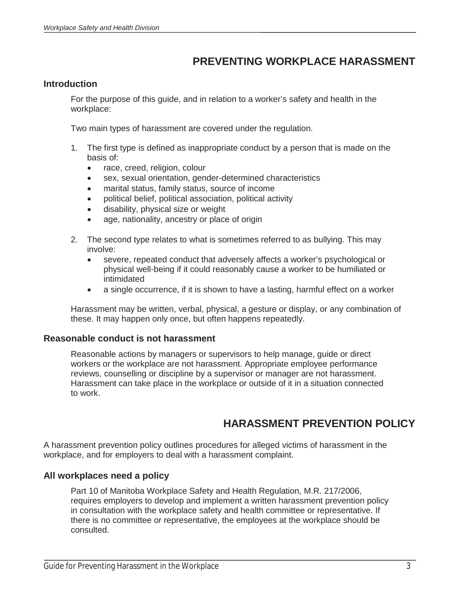## **PREVENTING WORKPLACE HARASSMENT**

#### **Introduction**

For the purpose of this guide, and in relation to a worker's safety and health in the workplace:

Two main types of harassment are covered under the regulation.

- 1. The first type is defined as inappropriate conduct by a person that is made on the basis of:
	- race, creed, religion, colour
	- sex, sexual orientation, gender-determined characteristics
	- marital status, family status, source of income
	- political belief, political association, political activity
	- disability, physical size or weight
	- age, nationality, ancestry or place of origin
- 2. The second type relates to what is sometimes referred to as bullying. This may involve:
	- severe, repeated conduct that adversely affects a worker's psychological or physical well-being if it could reasonably cause a worker to be humiliated or intimidated
	- a single occurrence, if it is shown to have a lasting, harmful effect on a worker

Harassment may be written, verbal, physical, a gesture or display, or any combination of these. It may happen only once, but often happens repeatedly.

#### **Reasonable conduct is not harassment**

Reasonable actions by managers or supervisors to help manage, guide or direct workers or the workplace are not harassment. Appropriate employee performance reviews, counselling or discipline by a supervisor or manager are not harassment. Harassment can take place in the workplace or outside of it in a situation connected to work.

## **HARASSMENT PREVENTION POLICY**

A harassment prevention policy outlines procedures for alleged victims of harassment in the workplace, and for employers to deal with a harassment complaint.

#### **All workplaces need a policy**

 $\overline{a}$ 

Part 10 of Manitoba Workplace Safety and Health Regulation, M.R. 217/2006, requires employers to develop and implement a written harassment prevention policy in consultation with the workplace safety and health committee or representative. If there is no committee or representative, the employees at the workplace should be consulted.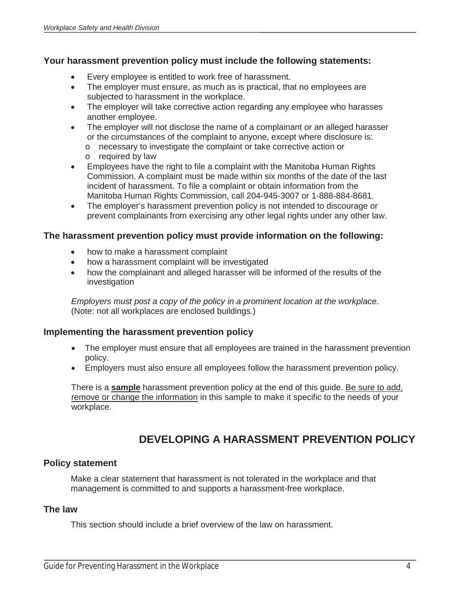#### **Your harassment prevention policy must include the following statements:**

- Every employee is entitled to work free of harassment.
- The employer must ensure, as much as is practical, that no employees are subjected to harassment in the workplace.
- The employer will take corrective action regarding any employee who harasses another employee.
- The employer will not disclose the name of a complainant or an alleged harasser or the circumstances of the complaint to anyone, except where disclosure is:
	- o necessary to investigate the complaint or take corrective action or
	- o required by law
- Employees have the right to file a complaint with the Manitoba Human Rights Commission. A complaint must be made within six months of the date of the last incident of harassment. To file a complaint or obtain information from the Manitoba Human Rights Commission, call 204-945-3007 or 1-888-884-8681.
- The employer's harassment prevention policy is not intended to discourage or prevent complainants from exercising any other legal rights under any other law.

#### **The harassment prevention policy must provide information on the following:**

- how to make a harassment complaint
- how a harassment complaint will be investigated
- how the complainant and alleged harasser will be informed of the results of the investigation

*Employers must post a copy of the policy in a prominent location at the workplace.*  (Note: not all workplaces are enclosed buildings.)

#### **Implementing the harassment prevention policy**

- The employer must ensure that all employees are trained in the harassment prevention policy.
- Employers must also ensure all employees follow the harassment prevention policy.

There is a **sample** harassment prevention policy at the end of this guide. Be sure to add, remove or change the information in this sample to make it specific to the needs of your workplace.

## **DEVELOPING A HARASSMENT PREVENTION POLICY**

#### **Policy statement**

Make a clear statement that harassment is not tolerated in the workplace and that management is committed to and supports a harassment-free workplace.

#### **The law**

 $\overline{a}$ 

This section should include a brief overview of the law on harassment.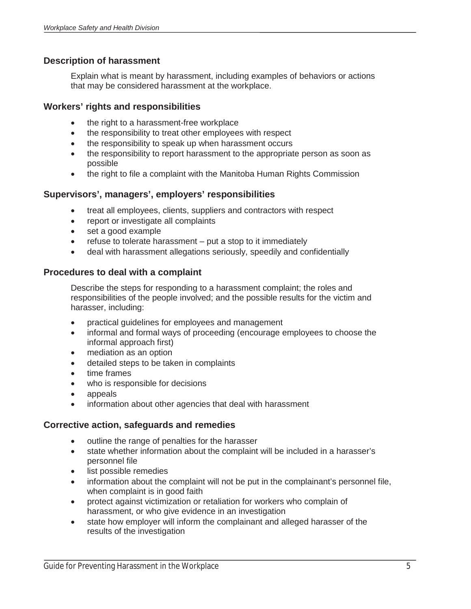#### **Description of harassment**

Explain what is meant by harassment, including examples of behaviors or actions that may be considered harassment at the workplace.

#### **Workers' rights and responsibilities**

- the right to a harassment-free workplace
- the responsibility to treat other employees with respect
- the responsibility to speak up when harassment occurs
- the responsibility to report harassment to the appropriate person as soon as possible
- the right to file a complaint with the Manitoba Human Rights Commission

#### **Supervisors', managers', employers' responsibilities**

- treat all employees, clients, suppliers and contractors with respect
- report or investigate all complaints
- set a good example
- refuse to tolerate harassment put a stop to it immediately
- deal with harassment allegations seriously, speedily and confidentially

#### **Procedures to deal with a complaint**

Describe the steps for responding to a harassment complaint; the roles and responsibilities of the people involved; and the possible results for the victim and harasser, including:

- practical guidelines for employees and management
- informal and formal ways of proceeding (encourage employees to choose the informal approach first)
- mediation as an option
- detailed steps to be taken in complaints
- time frames
- who is responsible for decisions
- appeals

 $\overline{a}$ 

information about other agencies that deal with harassment

#### **Corrective action, safeguards and remedies**

- outline the range of penalties for the harasser
- state whether information about the complaint will be included in a harasser's personnel file
- list possible remedies
- information about the complaint will not be put in the complainant's personnel file, when complaint is in good faith
- protect against victimization or retaliation for workers who complain of harassment, or who give evidence in an investigation
- state how employer will inform the complainant and alleged harasser of the results of the investigation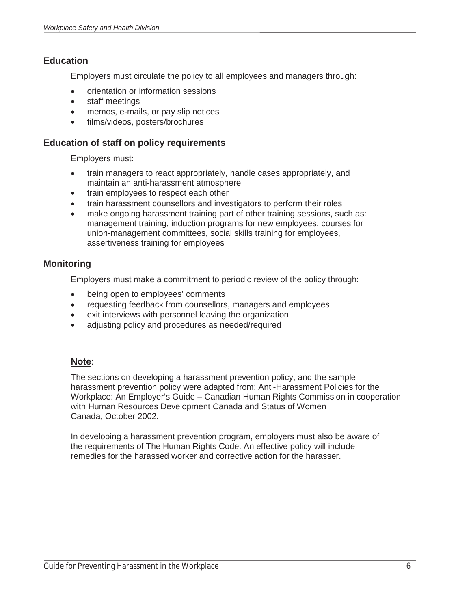#### **Education**

Employers must circulate the policy to all employees and managers through:

- orientation or information sessions
- staff meetings
- memos, e-mails, or pay slip notices
- films/videos, posters/brochures

#### **Education of staff on policy requirements**

Employers must:

- train managers to react appropriately, handle cases appropriately, and maintain an anti-harassment atmosphere
- train employees to respect each other
- train harassment counsellors and investigators to perform their roles
- make ongoing harassment training part of other training sessions, such as: management training, induction programs for new employees, courses for union-management committees, social skills training for employees, assertiveness training for employees

#### **Monitoring**

Employers must make a commitment to periodic review of the policy through:

- being open to employees' comments
- requesting feedback from counsellors, managers and employees
- exit interviews with personnel leaving the organization
- adjusting policy and procedures as needed/required

#### **Note**:

 $\overline{a}$ 

The sections on developing a harassment prevention policy, and the sample harassment prevention policy were adapted from: Anti-Harassment Policies for the Workplace: An Employer's Guide – Canadian Human Rights Commission in cooperation with Human Resources Development Canada and Status of Women Canada, October 2002.

In developing a harassment prevention program, employers must also be aware of the requirements of The Human Rights Code. An effective policy will include remedies for the harassed worker and corrective action for the harasser.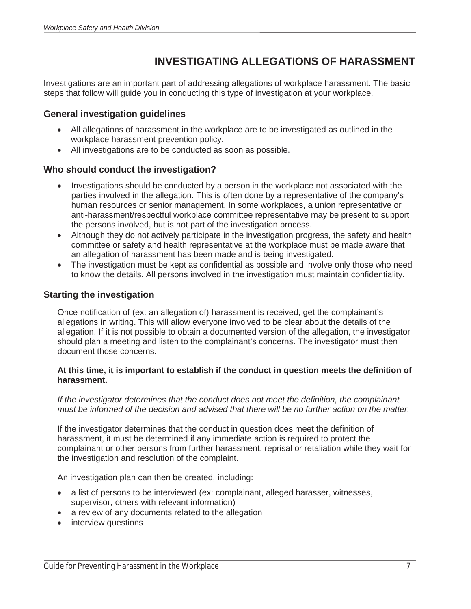## **INVESTIGATING ALLEGATIONS OF HARASSMENT**

Investigations are an important part of addressing allegations of workplace harassment. The basic steps that follow will guide you in conducting this type of investigation at your workplace.

#### **General investigation guidelines**

- All allegations of harassment in the workplace are to be investigated as outlined in the workplace harassment prevention policy.
- All investigations are to be conducted as soon as possible.

#### **Who should conduct the investigation?**

- Investigations should be conducted by a person in the workplace not associated with the parties involved in the allegation. This is often done by a representative of the company's human resources or senior management. In some workplaces, a union representative or anti-harassment/respectful workplace committee representative may be present to support the persons involved, but is not part of the investigation process.
- Although they do not actively participate in the investigation progress, the safety and health committee or safety and health representative at the workplace must be made aware that an allegation of harassment has been made and is being investigated.
- The investigation must be kept as confidential as possible and involve only those who need to know the details. All persons involved in the investigation must maintain confidentiality.

#### **Starting the investigation**

Once notification of (ex: an allegation of) harassment is received, get the complainant's allegations in writing. This will allow everyone involved to be clear about the details of the allegation. If it is not possible to obtain a documented version of the allegation, the investigator should plan a meeting and listen to the complainant's concerns. The investigator must then document those concerns.

#### **At this time, it is important to establish if the conduct in question meets the definition of harassment.**

*If the investigator determines that the conduct does not meet the definition, the complainant must be informed of the decision and advised that there will be no further action on the matter.* 

If the investigator determines that the conduct in question does meet the definition of harassment, it must be determined if any immediate action is required to protect the complainant or other persons from further harassment, reprisal or retaliation while they wait for the investigation and resolution of the complaint.

An investigation plan can then be created, including:

- a list of persons to be interviewed (ex: complainant, alleged harasser, witnesses, supervisor, others with relevant information)
- a review of any documents related to the allegation
- interview questions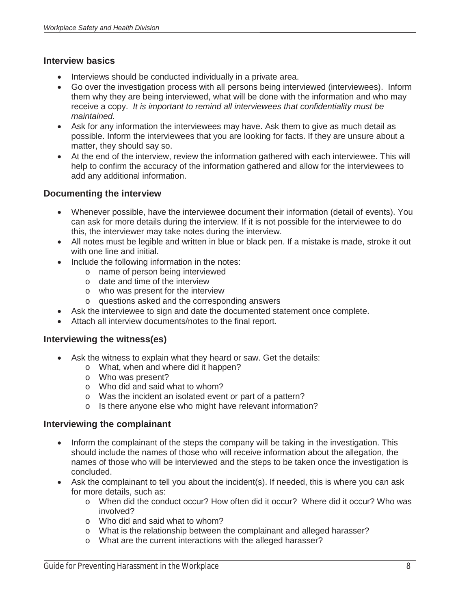#### **Interview basics**

- Interviews should be conducted individually in a private area.
- Go over the investigation process with all persons being interviewed (interviewees). Inform them why they are being interviewed, what will be done with the information and who may receive a copy. *It is important to remind all interviewees that confidentiality must be maintained.*
- Ask for any information the interviewees may have. Ask them to give as much detail as possible. Inform the interviewees that you are looking for facts. If they are unsure about a matter, they should say so.
- At the end of the interview, review the information gathered with each interviewee. This will help to confirm the accuracy of the information gathered and allow for the interviewees to add any additional information.

#### **Documenting the interview**

- Whenever possible, have the interviewee document their information (detail of events). You can ask for more details during the interview. If it is not possible for the interviewee to do this, the interviewer may take notes during the interview.
- All notes must be legible and written in blue or black pen. If a mistake is made, stroke it out with one line and initial.
- Include the following information in the notes:
	- o name of person being interviewed
	- o date and time of the interview
	- o who was present for the interview
	- o questions asked and the corresponding answers
- Ask the interviewee to sign and date the documented statement once complete.
- Attach all interview documents/notes to the final report.

#### **Interviewing the witness(es)**

- Ask the witness to explain what they heard or saw. Get the details:
	- o What, when and where did it happen?
	- o Who was present?
	- o Who did and said what to whom?
	- o Was the incident an isolated event or part of a pattern?
	- o Is there anyone else who might have relevant information?

#### **Interviewing the complainant**

- Inform the complainant of the steps the company will be taking in the investigation. This should include the names of those who will receive information about the allegation, the names of those who will be interviewed and the steps to be taken once the investigation is concluded.
- Ask the complainant to tell you about the incident(s). If needed, this is where you can ask for more details, such as:
	- o When did the conduct occur? How often did it occur? Where did it occur? Who was involved?
	- o Who did and said what to whom?
	- o What is the relationship between the complainant and alleged harasser?
	- o What are the current interactions with the alleged harasser?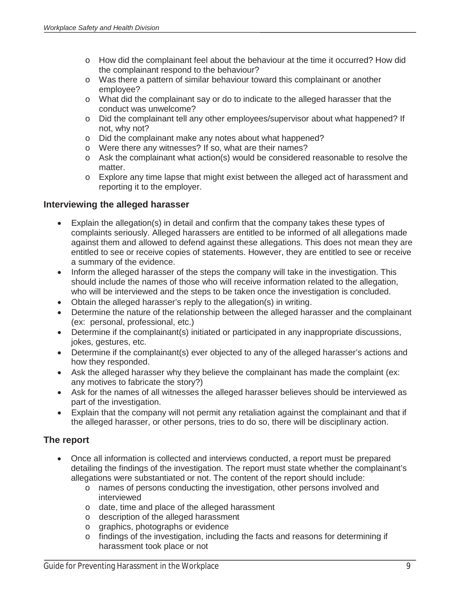- o How did the complainant feel about the behaviour at the time it occurred? How did the complainant respond to the behaviour?
- o Was there a pattern of similar behaviour toward this complainant or another employee?
- o What did the complainant say or do to indicate to the alleged harasser that the conduct was unwelcome?
- o Did the complainant tell any other employees/supervisor about what happened? If not, why not?
- o Did the complainant make any notes about what happened?
- o Were there any witnesses? If so, what are their names?
- $\circ$  Ask the complainant what action(s) would be considered reasonable to resolve the matter.
- o Explore any time lapse that might exist between the alleged act of harassment and reporting it to the employer.

#### **Interviewing the alleged harasser**

- Explain the allegation(s) in detail and confirm that the company takes these types of complaints seriously. Alleged harassers are entitled to be informed of all allegations made against them and allowed to defend against these allegations. This does not mean they are entitled to see or receive copies of statements. However, they are entitled to see or receive a summary of the evidence.
- Inform the alleged harasser of the steps the company will take in the investigation. This should include the names of those who will receive information related to the allegation, who will be interviewed and the steps to be taken once the investigation is concluded.
- Obtain the alleged harasser's reply to the allegation(s) in writing.
- Determine the nature of the relationship between the alleged harasser and the complainant (ex: personal, professional, etc.)
- Determine if the complainant(s) initiated or participated in any inappropriate discussions, jokes, gestures, etc.
- Determine if the complainant(s) ever objected to any of the alleged harasser's actions and how they responded.
- Ask the alleged harasser why they believe the complainant has made the complaint (ex: any motives to fabricate the story?)
- Ask for the names of all witnesses the alleged harasser believes should be interviewed as part of the investigation.
- Explain that the company will not permit any retaliation against the complainant and that if the alleged harasser, or other persons, tries to do so, there will be disciplinary action.

#### **The report**

- Once all information is collected and interviews conducted, a report must be prepared detailing the findings of the investigation. The report must state whether the complainant's allegations were substantiated or not. The content of the report should include:
	- o names of persons conducting the investigation, other persons involved and interviewed
	- o date, time and place of the alleged harassment
	- o description of the alleged harassment
	- o graphics, photographs or evidence
	- o findings of the investigation, including the facts and reasons for determining if harassment took place or not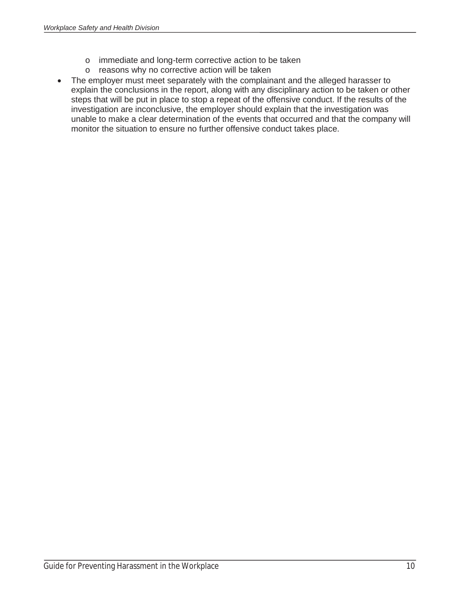- o immediate and long-term corrective action to be taken
- o reasons why no corrective action will be taken
- The employer must meet separately with the complainant and the alleged harasser to explain the conclusions in the report, along with any disciplinary action to be taken or other steps that will be put in place to stop a repeat of the offensive conduct. If the results of the investigation are inconclusive, the employer should explain that the investigation was unable to make a clear determination of the events that occurred and that the company will monitor the situation to ensure no further offensive conduct takes place.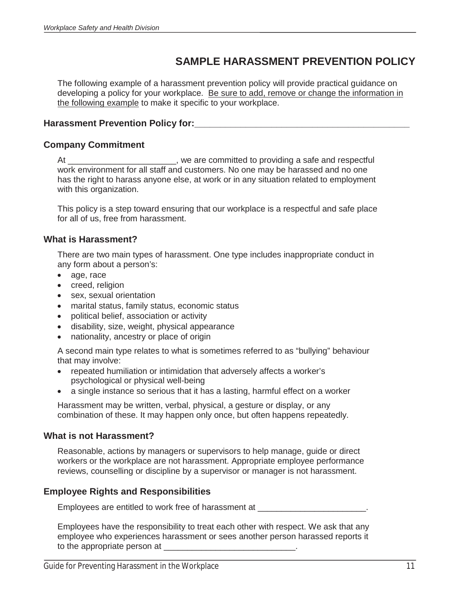## **SAMPLE HARASSMENT PREVENTION POLICY**

The following example of a harassment prevention policy will provide practical guidance on developing a policy for your workplace. Be sure to add, remove or change the information in the following example to make it specific to your workplace.

#### **Harassment Prevention Policy for:\_\_\_\_\_\_\_\_\_\_\_\_\_\_\_\_\_\_\_\_\_\_\_\_\_\_\_\_\_\_\_\_\_\_\_\_\_\_\_\_\_\_**

#### **Company Commitment**

At \_\_\_\_\_\_\_\_\_\_\_\_\_\_\_\_\_\_\_\_\_\_\_\_\_\_, we are committed to providing a safe and respectful work environment for all staff and customers. No one may be harassed and no one has the right to harass anyone else, at work or in any situation related to employment with this organization.

This policy is a step toward ensuring that our workplace is a respectful and safe place for all of us, free from harassment.

#### **What is Harassment?**

There are two main types of harassment. One type includes inappropriate conduct in any form about a person's:

- age, race
- creed, religion
- sex, sexual orientation
- marital status, family status, economic status
- political belief, association or activity
- disability, size, weight, physical appearance
- nationality, ancestry or place of origin

A second main type relates to what is sometimes referred to as "bullying" behaviour that may involve:

- repeated humiliation or intimidation that adversely affects a worker's psychological or physical well-being
- a single instance so serious that it has a lasting, harmful effect on a worker

Harassment may be written, verbal, physical, a gesture or display, or any combination of these. It may happen only once, but often happens repeatedly.

#### **What is not Harassment?**

 $\overline{a}$ 

Reasonable, actions by managers or supervisors to help manage, guide or direct workers or the workplace are not harassment. Appropriate employee performance reviews, counselling or discipline by a supervisor or manager is not harassment.

#### **Employee Rights and Responsibilities**

Employees are entitled to work free of harassment at \_\_\_\_\_\_\_\_\_\_\_\_\_\_\_\_\_\_\_\_\_\_\_.

Employees have the responsibility to treat each other with respect. We ask that any employee who experiences harassment or sees another person harassed reports it to the appropriate person at  $\blacksquare$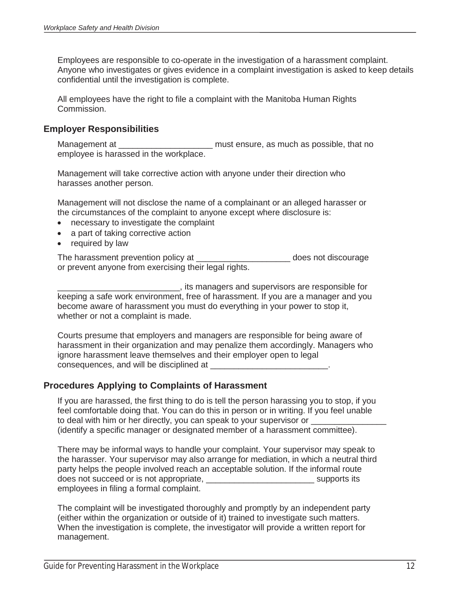Employees are responsible to co-operate in the investigation of a harassment complaint. Anyone who investigates or gives evidence in a complaint investigation is asked to keep details confidential until the investigation is complete.

All employees have the right to file a complaint with the Manitoba Human Rights Commission.

#### **Employer Responsibilities**

Management at the state of the state of the must ensure, as much as possible, that no employee is harassed in the workplace.

Management will take corrective action with anyone under their direction who harasses another person.

Management will not disclose the name of a complainant or an alleged harasser or the circumstances of the complaint to anyone except where disclosure is:

- necessary to investigate the complaint
- a part of taking corrective action
- $\bullet$  required by law

The harassment prevention policy at \_\_\_\_\_\_\_\_\_\_\_\_\_\_\_\_\_\_\_\_\_\_\_\_ does not discourage or prevent anyone from exercising their legal rights.

\_\_\_\_\_\_\_\_\_\_\_\_\_\_\_\_\_\_\_\_\_\_\_\_\_\_, its managers and supervisors are responsible for keeping a safe work environment, free of harassment. If you are a manager and you become aware of harassment you must do everything in your power to stop it, whether or not a complaint is made.

Courts presume that employers and managers are responsible for being aware of harassment in their organization and may penalize them accordingly. Managers who ignore harassment leave themselves and their employer open to legal consequences, and will be disciplined at

#### **Procedures Applying to Complaints of Harassment**

If you are harassed, the first thing to do is tell the person harassing you to stop, if you feel comfortable doing that. You can do this in person or in writing. If you feel unable to deal with him or her directly, you can speak to your supervisor or (identify a specific manager or designated member of a harassment committee).

There may be informal ways to handle your complaint. Your supervisor may speak to the harasser. Your supervisor may also arrange for mediation, in which a neutral third party helps the people involved reach an acceptable solution. If the informal route does not succeed or is not appropriate, the supports its supports its supports its employees in filing a formal complaint.

The complaint will be investigated thoroughly and promptly by an independent party (either within the organization or outside of it) trained to investigate such matters. When the investigation is complete, the investigator will provide a written report for management.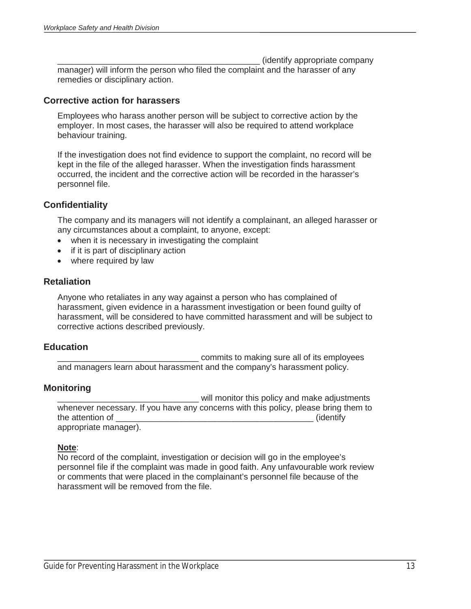\_\_\_\_\_\_\_\_\_\_\_\_\_\_\_\_\_\_\_\_\_\_\_\_\_\_\_\_\_\_\_\_\_\_\_\_\_\_\_\_\_\_\_ (identify appropriate company

manager) will inform the person who filed the complaint and the harasser of any remedies or disciplinary action.

#### **Corrective action for harassers**

Employees who harass another person will be subject to corrective action by the employer. In most cases, the harasser will also be required to attend workplace behaviour training.

If the investigation does not find evidence to support the complaint, no record will be kept in the file of the alleged harasser. When the investigation finds harassment occurred, the incident and the corrective action will be recorded in the harasser's personnel file.

#### **Confidentiality**

The company and its managers will not identify a complainant, an alleged harasser or any circumstances about a complaint, to anyone, except:

- $\bullet$  when it is necessary in investigating the complaint
- $\bullet$  if it is part of disciplinary action
- $\bullet$  where required by law

#### **Retaliation**

Anyone who retaliates in any way against a person who has complained of harassment, given evidence in a harassment investigation or been found guilty of harassment, will be considered to have committed harassment and will be subject to corrective actions described previously.

#### **Education**

\_\_\_\_\_\_\_\_\_\_\_\_\_\_\_\_\_\_\_\_\_\_\_\_\_\_\_\_\_\_ commits to making sure all of its employees and managers learn about harassment and the company's harassment policy.

#### **Monitoring**

will monitor this policy and make adiustments whenever necessary. If you have any concerns with this policy, please bring them to the attention of  $\qquad \qquad$  (identify appropriate manager).

#### **Note**:

 $\overline{a}$ 

No record of the complaint, investigation or decision will go in the employee's personnel file if the complaint was made in good faith. Any unfavourable work review or comments that were placed in the complainant's personnel file because of the harassment will be removed from the file.